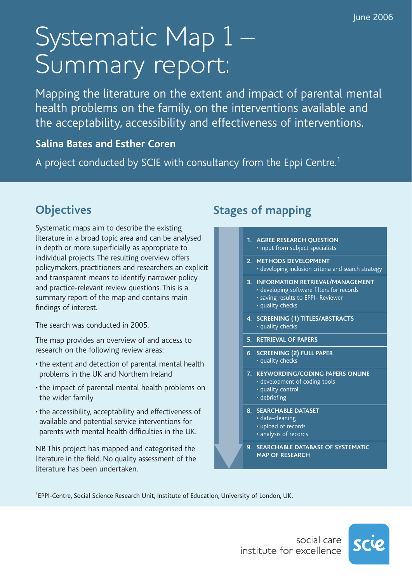# Systematic Map 1 Summary report:

Mapping the literature on the extent and impact of parental mental health problems on the family, on the interventions available and the acceptability, accessibility and effectiveness of interventions.

#### **Salina Bates and Esther Coren**

A project conducted by SCIE with consultancy from the Eppi Centre.<sup>1</sup>

# **Objectives**

Systematic maps aim to describe the existing literature in a broad topic area and can be analysed in depth or more superficially as appropriate to individual projects. The resulting overview offers policymakers, practitioners and researchers an explicit and transparent means to identify narrower policy and practice-relevant review questions. This is a summary report of the map and contains main findings of interest.

The search was conducted in 2005.

The map provides an overview of and access to research on the following review areas:

- the extent and detection of parental mental health problems in the UK and Northern Ireland
- the impact of parental mental health problems on the wider family
- the accessibility, acceptability and effectiveness of available and potential service interventions for parents with mental health difficulties in the UK.

NB This project has mapped and categorised the literature in the field. No quality assessment of the literature has been undertaken.

## **Stages of mapping**

- **1. AGREE RESEARCH QUESTION** • input from subject specialists **2. METHODS DEVELOPMENT**  • developing inclusion criteria and search strategy **3. INFORMATION RETRIEVAL/MANAGEMENT**  • developing software filters for records • saving results to EPPI- Reviewer • quality checks **4. SCREENING (1) TITLES/ABSTRACTS**  • quality checks **5. RETRIEVAL OF PAPERS 6. SCREENING (2) FULL PAPER**  • quality checks **7. KEYWORDING/CODING PAPERS ONLINE** • development of coding tools • quality control • debriefing **8. SEARCHABLE DATASET** • data-cleaning • upload of records
	-
	- analysis of records
	- **9. SEARCHABLE DATABASE OF SYSTEMATIC MAP OF RESEARCH**

<sup>1</sup>EPPI-Centre, Social Science Research Unit, Institute of Education, University of London, UK.

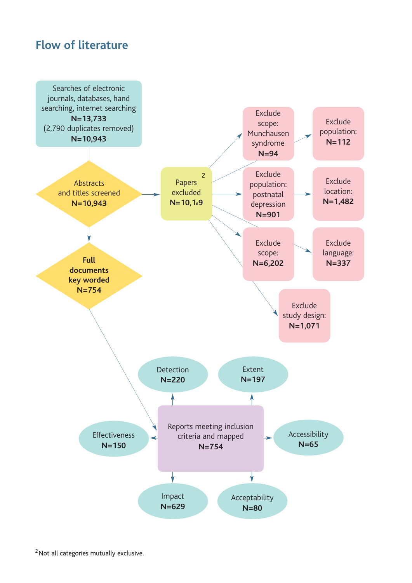#### **Flow of literature**

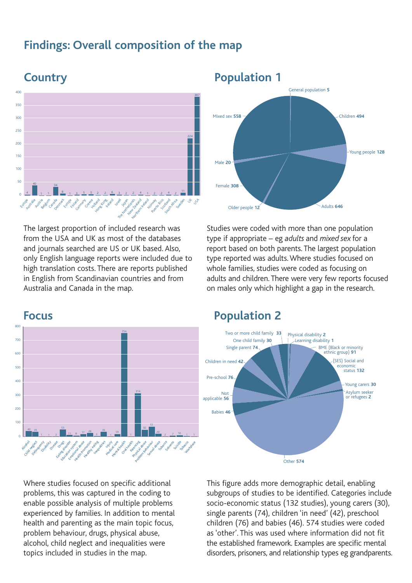#### **Findings: Overall composition of the map**



The largest proportion of included research was from the USA and UK as most of the databases and journals searched are US or UK based. Also, only English language reports were included due to high translation costs. There are reports published in English from Scandinavian countries and from Australia and Canada in the map.



Studies were coded with more than one population type if appropriate – eg *adults* and *mixed sex* for a report based on both parents. The largest population type reported was adults. Where studies focused on whole families, studies were coded as focusing on adults and children. There were very few reports focused on males only which highlight a gap in the research.

Older people 12<br> **12** Adults **646** 





Where studies focused on specific additional problems, this was captured in the coding to enable possible analysis of multiple problems experienced by families. In addition to mental health and parenting as the main topic focus, problem behaviour, drugs, physical abuse, alcohol, child neglect and inequalities were topics included in studies in the map.

This figure adds more demographic detail, enabling subgroups of studies to be identified. Categories include socio-economic status (132 studies), young carers (30), single parents (74), children 'in need' (42), preschool children (76) and babies (46). 574 studies were coded as 'other'. This was used where information did not fit the established framework. Examples are specific mental disorders, prisoners, and relationship types eg grandparents.